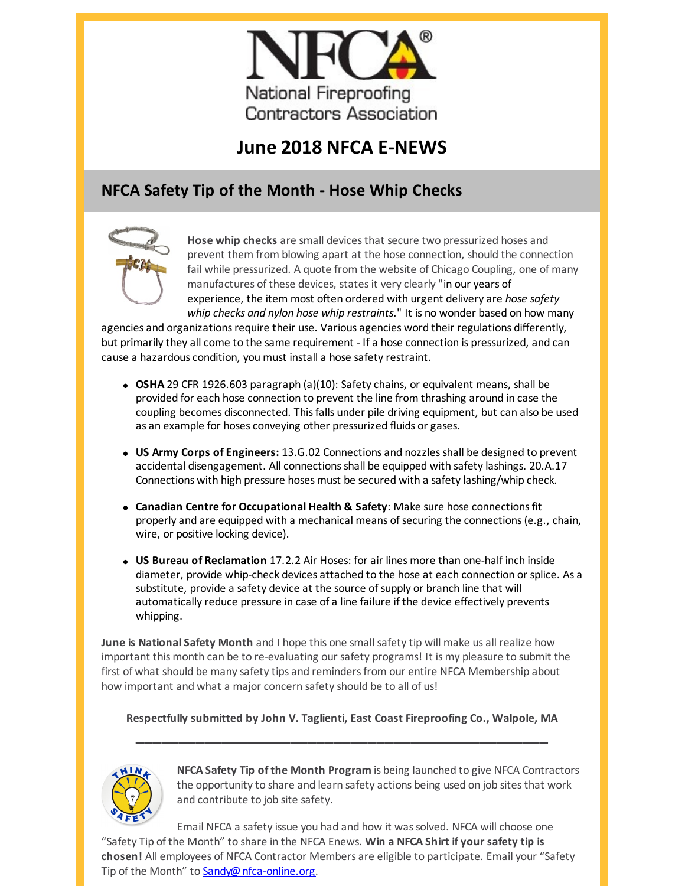

# **June 2018 NFCA E-NEWS**

## **NFCA Safety Tip of the Month - Hose Whip Checks**



**Hose whip checks** are small devicesthat secure two pressurized hoses and prevent them from blowing apart at the hose connection, should the connection fail while pressurized. A quote from the website of Chicago Coupling, one of many manufactures of these devices, states it very clearly "in our years of experience, the item most often ordered with urgent delivery are *hose safety whip checks and nylon hose whip restraints*." It is no wonder based on how many

agencies and organizations require their use. Various agencies word their regulations differently, but primarily they all come to the same requirement - If a hose connection is pressurized, and can cause a hazardous condition, you must install a hose safety restraint.

- **OSHA** 29 CFR 1926.603 paragraph (a)(10): Safety chains, or equivalent means, shall be provided for each hose connection to prevent the line from thrashing around in case the coupling becomes disconnected. This falls under pile driving equipment, but can also be used as an example for hoses conveying other pressurized fluids or gases.
- **US Army Corps of Engineers:** 13.G.02 Connections and nozzlesshall be designed to prevent accidental disengagement. All connectionsshall be equipped with safety lashings. 20.A.17 Connections with high pressure hoses must be secured with a safety lashing/whip check.
- **Canadian Centre for Occupational Health & Safety**: Make sure hose connectionsfit properly and are equipped with a mechanical means of securing the connections(e.g., chain, wire, or positive locking device).
- **US Bureau of Reclamation** 17.2.2 Air Hoses: for air lines more than one-half inch inside diameter, provide whip-check devices attached to the hose at each connection or splice. As a substitute, provide a safety device at the source of supply or branch line that will automatically reduce pressure in case of a line failure if the device effectively prevents whipping.

**June is National Safety Month** and I hope this one small safety tip will make us all realize how important this month can be to re-evaluating our safety programs! It is my pleasure to submit the first of what should be many safety tips and remindersfrom our entire NFCA Membership about how important and what a major concern safety should be to all of us!

### **Respectfully submitted by John V. Taglienti, East Coast Fireproofing Co., Walpole, MA \_\_\_\_\_\_\_\_\_\_\_\_\_\_\_\_\_\_\_\_\_\_\_\_\_\_\_\_\_\_\_\_\_\_\_\_\_\_\_\_\_\_\_\_\_\_\_\_**



**NFCA Safety Tip of the Month Program** is being launched to give NFCA Contractors the opportunity to share and learn safety actions being used on job sitesthat work and contribute to job site safety.

Email NFCA a safety issue you had and how it wassolved. NFCA will choose one "Safety Tip of the Month" to share in the NFCA Enews. **Win a NFCA Shirt if your safety tip is chosen!** All employees of NFCA Contractor Members are eligible to participate. Email your "Safety Tip of the Month" to [Sandy@nfca-online.org](mailto:Sandy@nfca-online.org).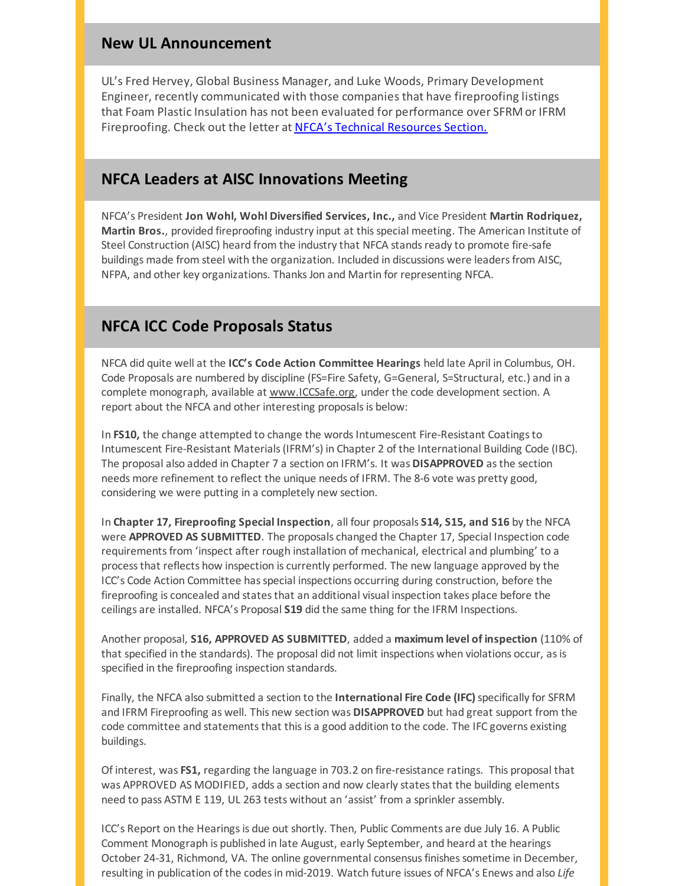#### **New UL Announcement**

UL's Fred Hervey, Global Business Manager, and Luke Woods, Primary Development Engineer, recently communicated with those companies that have fireproofing listings that Foam Plastic Insulation has not been evaluated for performance over SFRM or IFRM Fireproofing. Check out the letter at NFCA's Technical [Resources](https://nfca-online.org/resources/technical-information.asp) Section.

#### **NFCA Leaders at AISC Innovations Meeting**

NFCA's President **Jon Wohl, Wohl Diversified Services, Inc.,** and Vice President **Martin Rodriquez, Martin Bros.**, provided fireproofing industry input at thisspecial meeting. The American Institute of Steel Construction (AISC) heard from the industry that NFCA stands ready to promote fire-safe buildings made from steel with the organization. Included in discussions were leaders from AISC, NFPA, and other key organizations. Thanks Jon and Martin for representing NFCA.

#### **NFCA ICC Code Proposals Status**

NFCA did quite well at the **ICC's Code Action Committee Hearings** held late April in Columbus, OH. Code Proposals are numbered by discipline (FS=Fire Safety, G=General, S=Structural, etc.) and in a complete monograph, available at [www.ICCSafe.org](http://www.iccsafe.org), under the code development section. A report about the NFCA and other interesting proposals is below:

In **FS10**, the change attempted to change the words Intumescent Fire-Resistant Coatings to Intumescent Fire-Resistant Materials(IFRM's) in Chapter 2 of the International Building Code (IBC). The proposal also added in Chapter 7 a section on IFRM's. It was **DISAPPROVED** asthe section needs more refinement to reflect the unique needs of IFRM. The 8-6 vote was pretty good, considering we were putting in a completely new section.

In **Chapter 17, Fireproofing Special Inspection**, all four proposals **S14, S15, and S16** by the NFCA were **APPROVED AS SUBMITTED**. The proposals changed the Chapter 17, Special Inspection code requirements from 'inspect after rough installation of mechanical, electrical and plumbing' to a processthat reflects how inspection is currently performed. The new language approved by the ICC's Code Action Committee has special inspections occurring during construction, before the fireproofing is concealed and states that an additional visual inspection takes place before the ceilings are installed. NFCA's Proposal **S19** did the same thing for the IFRM Inspections.

Another proposal, **S16, APPROVED AS SUBMITTED**, added a **maximum level of inspection** (110% of that specified in the standards). The proposal did not limit inspections when violations occur, as is specified in the fireproofing inspection standards.

Finally, the NFCA also submitted a section to the **International Fire Code (IFC)**specifically for SFRM and IFRM Fireproofing as well. This new section was **DISAPPROVED** but had great support from the code committee and statements that this is a good addition to the code. The IFC governs existing buildings.

Of interest, was **FS1,** regarding the language in 703.2 on fire-resistance ratings. This proposal that was APPROVED AS MODIFIED, adds a section and now clearly statesthat the building elements need to pass ASTM E 119, UL 263 tests without an 'assist' from a sprinkler assembly.

ICC's Report on the Hearings is due out shortly. Then, Public Comments are due July 16. A Public Comment Monograph is published in late August, early September, and heard at the hearings October 24-31, Richmond, VA. The online governmental consensus finishes sometime in December, resulting in publication of the codesin mid-2019. Watch future issues of NFCA's Enews and also *Life*